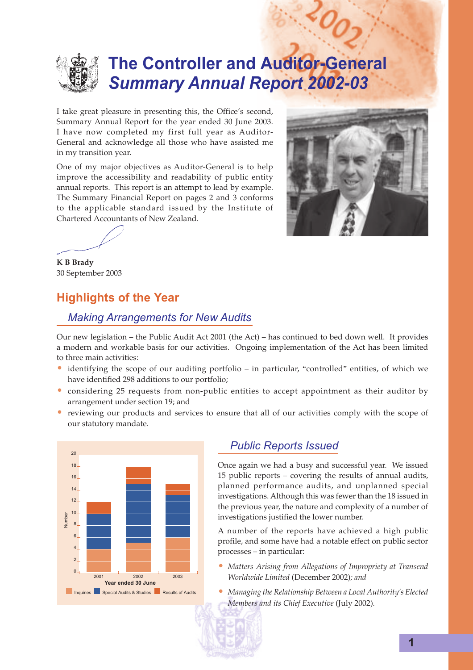

# **The Controller and Auditor-General** *Summary Annual Report 2002-03*

I take great pleasure in presenting this, the Office's second, Summary Annual Report for the year ended 30 June 2003. I have now completed my first full year as Auditor-General and acknowledge all those who have assisted me in my transition year.

One of my major objectives as Auditor-General is to help improve the accessibility and readability of public entity annual reports. This report is an attempt to lead by example. The Summary Financial Report on pages 2 and 3 conforms to the applicable standard issued by the Institute of Chartered Accountants of New Zealand.



 $\mathcal{O}_O$ 

**K B Brady**

30 September 2003

# **Highlights of the Year**

# *Making Arrangements for New Audits*

Our new legislation – the Public Audit Act 2001 (the Act) – has continued to bed down well. It provides a modern and workable basis for our activities. Ongoing implementation of the Act has been limited to three main activities:

- identifying the scope of our auditing portfolio in particular, "controlled" entities, of which we have identified 298 additions to our portfolio;
- considering 25 requests from non-public entities to accept appointment as their auditor by arrangement under section 19; and
- reviewing our products and services to ensure that all of our activities comply with the scope of our statutory mandate.



## *Public Reports Issued*

Once again we had a busy and successful year. We issued 15 public reports – covering the results of annual audits, planned performance audits, and unplanned special investigations. Although this was fewer than the 18 issued in the previous year, the nature and complexity of a number of investigations justified the lower number.

A number of the reports have achieved a high public profile, and some have had a notable effect on public sector processes – in particular:

- *Matters Arising from Allegations of Impropriety at Transend Worldwide Limited* (December 2002)*; and*
- *Managing the Relationship Between a Local Authority's Elected Members and its Chief Executive* (July 2002)*.*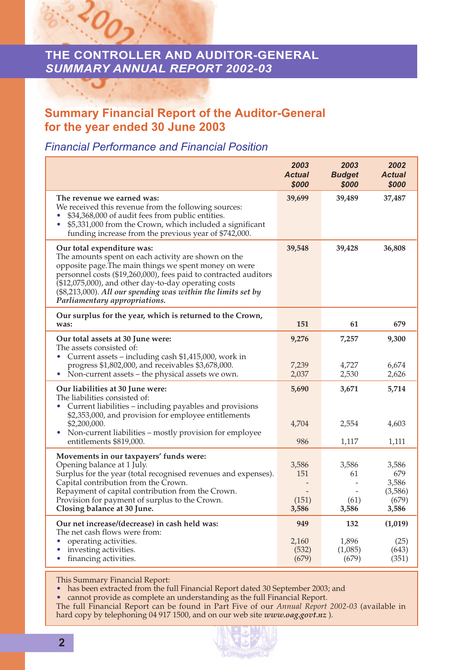# **THE CONTROLLER AND AUDITOR-GENERAL** *SUMMARY ANNUAL REPORT 2002-03*

# **Summary Financial Report of the Auditor-General for the year ended 30 June 2003**

## *Financial Performance and Financial Position*

 $O_{\Omega}$ 

|                                                                                                                                                                                                                                                                                                                                                                           | 2003<br><b>Actual</b><br>\$000 | 2003<br><b>Budget</b><br>\$000   | 2002<br><b>Actual</b><br>\$000                     |
|---------------------------------------------------------------------------------------------------------------------------------------------------------------------------------------------------------------------------------------------------------------------------------------------------------------------------------------------------------------------------|--------------------------------|----------------------------------|----------------------------------------------------|
| The revenue we earned was:<br>We received this revenue from the following sources:<br>\$34,368,000 of audit fees from public entities.<br>۰<br>\$5,331,000 from the Crown, which included a significant<br>funding increase from the previous year of \$742,000.                                                                                                          | 39,699                         | 39,489                           | 37,487                                             |
| Our total expenditure was:<br>The amounts spent on each activity are shown on the<br>opposite page. The main things we spent money on were<br>personnel costs (\$19,260,000), fees paid to contracted auditors<br>(\$12,075,000), and other day-to-day operating costs<br>$($8,213,000)$ . All our spending was within the limits set by<br>Parliamentary appropriations. | 39,548                         | 39,428                           | 36,808                                             |
| Our surplus for the year, which is returned to the Crown,<br>was:                                                                                                                                                                                                                                                                                                         | 151                            | 61                               | 679                                                |
| Our total assets at 30 June were:<br>The assets consisted of:<br>Current assets – including cash \$1,415,000, work in<br>progress \$1,802,000, and receivables \$3,678,000.<br>Non-current assets - the physical assets we own.<br>$\bullet$                                                                                                                              | 9,276<br>7,239<br>2,037        | 7,257<br>4,727<br>2,530          | 9,300<br>6,674<br>2,626                            |
| Our liabilities at 30 June were:<br>The liabilities consisted of:<br>Current liabilities - including payables and provisions<br>٠<br>\$2,353,000, and provision for employee entitlements<br>\$2,200,000.<br>Non-current liabilities – mostly provision for employee<br>entitlements \$819,000.                                                                           | 5,690<br>4,704<br>986          | 3,671<br>2,554<br>1,117          | 5,714<br>4,603<br>1,111                            |
| Movements in our taxpayers' funds were:<br>Opening balance at 1 July.<br>Surplus for the year (total recognised revenues and expenses).<br>Capital contribution from the Crown.<br>Repayment of capital contribution from the Crown.<br>Provision for payment of surplus to the Crown.<br>Closing balance at 30 June.                                                     | 3,586<br>151<br>(151)<br>3,586 | 3,586<br>61<br>(61)<br>3,586     | 3,586<br>679<br>3,586<br>(3,586)<br>(679)<br>3,586 |
| Our net increase/(decrease) in cash held was:<br>The net cash flows were from:<br>operating activities.<br>investing activities.<br>financing activities.                                                                                                                                                                                                                 | 949<br>2,160<br>(532)<br>(679) | 132<br>1,896<br>(1,085)<br>(679) | (1,019)<br>(25)<br>(643)<br>(351)                  |

This Summary Financial Report:

• has been extracted from the full Financial Report dated 30 September 2003; and

• cannot provide as complete an understanding as the full Financial Report.

The full Financial Report can be found in Part Five of our *Annual Report 2002-03* (available in hard copy by telephoning 04 917 1500, and on our web site *www.oag.govt.nz* ).

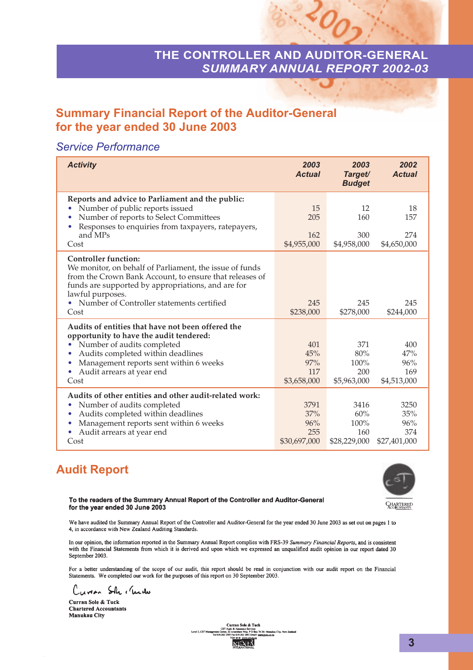# **THE CONTROLLER AND AUDITOR-GENERAL** *SUMMARY ANNUAL REPORT 2002-03*

 $^{60}$ 

# **Summary Financial Report of the Auditor-General for the year ended 30 June 2003**

# *Service Performance*

| <b>Activity</b>                                                                                                                                                                                                                                                                    | 2003<br><b>Actual</b>                     | 2003<br>Target/<br><b>Budget</b>           | 2002<br><b>Actual</b>                     |
|------------------------------------------------------------------------------------------------------------------------------------------------------------------------------------------------------------------------------------------------------------------------------------|-------------------------------------------|--------------------------------------------|-------------------------------------------|
| Reports and advice to Parliament and the public:<br>Number of public reports issued<br>Number of reports to Select Committees<br>Responses to enquiries from taxpayers, ratepayers,<br>and MPs<br>Cost                                                                             | 15<br>205<br>162<br>\$4,955,000           | 12<br>160<br>300<br>\$4,958,000            | 18<br>157<br>274<br>\$4,650,000           |
| <b>Controller function:</b><br>We monitor, on behalf of Parliament, the issue of funds<br>from the Crown Bank Account, to ensure that releases of<br>funds are supported by appropriations, and are for<br>lawful purposes.<br>• Number of Controller statements certified<br>Cost | 245<br>\$238,000                          | 245<br>\$278,000                           | 245<br>\$244,000                          |
| Audits of entities that have not been offered the<br>opportunity to have the audit tendered:<br>Number of audits completed<br>0<br>Audits completed within deadlines<br>٠<br>Management reports sent within 6 weeks<br>0<br>Audit arrears at year end<br>٠<br>Cost                 | 401<br>45%<br>97%<br>117<br>\$3,658,000   | 371<br>80%<br>100%<br>200<br>\$5,963,000   | 400<br>47%<br>96%<br>169<br>\$4,513,000   |
| Audits of other entities and other audit-related work:<br>Number of audits completed<br>Audits completed within deadlines<br>٠<br>Management reports sent within 6 weeks<br>٠<br>Audit arrears at year end<br>Cost                                                                 | 3791<br>37%<br>96%<br>255<br>\$30,697,000 | 3416<br>60%<br>100%<br>160<br>\$28,229,000 | 3250<br>35%<br>96%<br>374<br>\$27,401,000 |

# **Audit Report**



To the readers of the Summary Annual Report of the Controller and Auditor-General for the year ended 30 June 2003

We have audited the Summary Annual Report of the Controller and Auditor-General for the year ended 30 June 2003 as set out on pages 1 to 4, in accordance with New Zealand Auditing Standards.

In our opinion, the information reported in the Summary Annual Report complies with FRS-39 Summary Financial Reports, and is consistent with the Financial Statements from which it is derived and upon which we expressed an unqualified audit opinion in our report dated 30 September 2003.

For a better understanding of the scope of our audit, this report should be read in conjunction with our audit report on the Financial Statements. We completed our work for the purposes of this report on 30 September 2003.

Curren Sh . Under

Curran Sole & Tuck **Chartered Accountants Manukau City** 

ervices<br>, P O Box 76 2

Manukau City, New Zealand<br>st.co.nz